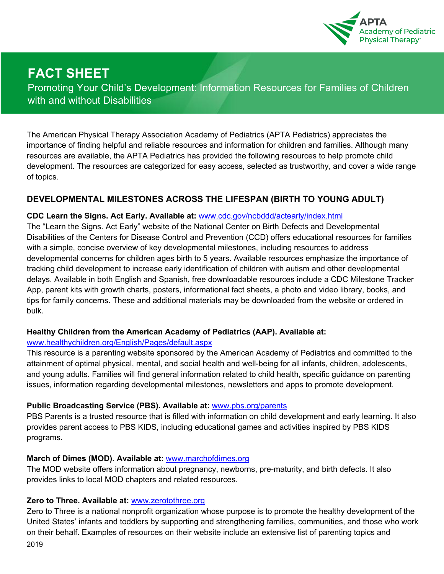

# **FACT SHEET**

Promoting Your Child's Development: Information Resources for Families of Children with and without Disabilities

The American Physical Therapy Association Academy of Pediatrics (APTA Pediatrics) appreciates the importance of finding helpful and reliable resources and information for children and families. Although many resources are available, the APTA Pediatrics has provided the following resources to help promote child development. The resources are categorized for easy access, selected as trustworthy, and cover a wide range of topics.

# **DEVELOPMENTAL MILESTONES ACROSS THE LIFESPAN (BIRTH TO YOUNG ADULT)**

#### **CDC Learn the Signs. Act Early. Available at:** www.cdc.gov/ncbddd/actearly/index.html

The "Learn the Signs. Act Early" website of the National Center on Birth Defects and Developmental Disabilities of the Centers for Disease Control and Prevention (CCD) offers educational resources for families with a simple, concise overview of key developmental milestones, including resources to address developmental concerns for children ages birth to 5 years. Available resources emphasize the importance of tracking child development to increase early identification of children with autism and other developmental delays. Available in both English and Spanish, free downloadable resources include a CDC Milestone Tracker App, parent kits with growth charts, posters, informational fact sheets, a photo and video library, books, and tips for family concerns. These and additional materials may be downloaded from the website or ordered in bulk.

#### **Healthy Children from the American Academy of Pediatrics (AAP). Available at:**

#### www.healthychildren.org/English/Pages/default.aspx

This resource is a parenting website sponsored by the American Academy of Pediatrics and committed to the attainment of optimal physical, mental, and social health and well-being for all infants, children, adolescents, and young adults. Families will find general information related to child health, specific guidance on parenting issues, information regarding developmental milestones, newsletters and apps to promote development.

#### **Public Broadcasting Service (PBS). Available at:** www.pbs.org/parents

PBS Parents is a trusted resource that is filled with information on child development and early learning. It also provides parent access to PBS KIDS, including educational games and activities inspired by PBS KIDS programs**.**

#### **March of Dimes (MOD). Available at:** www.marchofdimes.org

The MOD website offers information about pregnancy, newborns, pre-maturity, and birth defects. It also provides links to local MOD chapters and related resources.

#### **Zero to Three. Available at:** www.zerotothree.org

2019 Zero to Three is a national nonprofit organization whose purpose is to promote the healthy development of the United States' infants and toddlers by supporting and strengthening families, communities, and those who work on their behalf. Examples of resources on their website include an extensive list of parenting topics and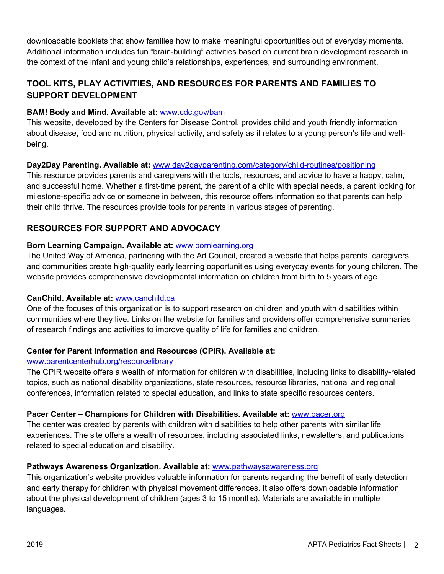downloadable booklets that show families how to make meaningful opportunities out of everyday moments. Additional information includes fun "brain-building" activities based on current brain development research in the context of the infant and young child's relationships, experiences, and surrounding environment.

## **TOOL KITS, PLAY ACTIVITIES, AND RESOURCES FOR PARENTS AND FAMILIES TO SUPPORT DEVELOPMENT**

#### **BAM! Body and Mind. Available at:** www.cdc.gov/bam

This website, developed by the Centers for Disease Control, provides child and youth friendly information about disease, food and nutrition, physical activity, and safety as it relates to a young person's life and wellbeing.

## **Day2Day Parenting. Available at:** www.day2dayparenting.com/category/child-routines/positioning

This resource provides parents and caregivers with the tools, resources, and advice to have a happy, calm, and successful home. Whether a first-time parent, the parent of a child with special needs, a parent looking for milestone-specific advice or someone in between, this resource offers information so that parents can help their child thrive. The resources provide tools for parents in various stages of parenting.

# **RESOURCES FOR SUPPORT AND ADVOCACY**

## **Born Learning Campaign. Available at:** www.bornlearning.org

The United Way of America, partnering with the Ad Council, created a website that helps parents, caregivers, and communities create high-quality early learning opportunities using everyday events for young children. The website provides comprehensive developmental information on children from birth to 5 years of age.

#### **CanChild. Available at:** www.canchild.ca

One of the focuses of this organization is to support research on children and youth with disabilities within communities where they live. Links on the website for families and providers offer comprehensive summaries of research findings and activities to improve quality of life for families and children.

#### **Center for Parent Information and Resources (CPIR). Available at:**

#### www.parentcenterhub.org/resourcelibrary

The CPIR website offers a wealth of information for children with disabilities, including links to disability-related topics, such as national disability organizations, state resources, resource libraries, national and regional conferences, information related to special education, and links to state specific resources centers.

#### **Pacer Center – Champions for Children with Disabilities. Available at:** www.pacer.org

The center was created by parents with children with disabilities to help other parents with similar life experiences. The site offers a wealth of resources, including associated links, newsletters, and publications related to special education and disability.

#### **Pathways Awareness Organization. Available at:** www.pathwaysawareness.org

This organization's website provides valuable information for parents regarding the benefit of early detection and early therapy for children with physical movement differences. It also offers downloadable information about the physical development of children (ages 3 to 15 months). Materials are available in multiple languages.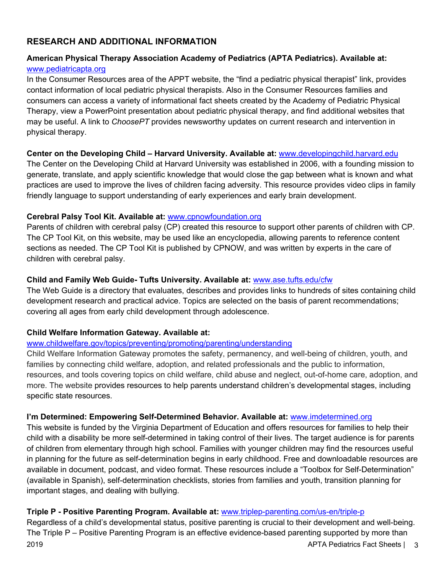## **RESEARCH AND ADDITIONAL INFORMATION**

### **American Physical Therapy Association Academy of Pediatrics (APTA Pediatrics). Available at:** www.pediatricapta.org

In the Consumer Resources area of the APPT website, the "find a pediatric physical therapist" link, provides contact information of local pediatric physical therapists. Also in the Consumer Resources families and consumers can access a variety of informational fact sheets created by the Academy of Pediatric Physical Therapy, view a PowerPoint presentation about pediatric physical therapy, and find additional websites that may be useful. A link to *ChoosePT* provides newsworthy updates on current research and intervention in physical therapy.

#### **Center on the Developing Child – Harvard University. Available at:** www.developingchild.harvard.edu

The Center on the Developing Child at Harvard University was established in 2006, with a founding mission to generate, translate, and apply scientific knowledge that would close the gap between what is known and what practices are used to improve the lives of children facing adversity. This resource provides video clips in family friendly language to support understanding of early experiences and early brain development.

#### **Cerebral Palsy Tool Kit. Available at:** www.cpnowfoundation.org

Parents of children with cerebral palsy (CP) created this resource to support other parents of children with CP. The CP Tool Kit, on this website, may be used like an encyclopedia, allowing parents to reference content sections as needed. The CP Tool Kit is published by CPNOW, and was written by experts in the care of children with cerebral palsy.

#### **Child and Family Web Guide- Tufts University. Available at:** www.ase.tufts.edu/cfw

The Web Guide is a directory that evaluates, describes and provides links to hundreds of sites containing child development research and practical advice. Topics are selected on the basis of parent recommendations; covering all ages from early child development through adolescence.

#### **Child Welfare Information Gateway. Available at:**

#### www.childwelfare.gov/topics/preventing/promoting/parenting/understanding

Child Welfare Information Gateway promotes the safety, permanency, and well-being of children, youth, and families by connecting child welfare, adoption, and related professionals and the public to information, resources, and tools covering topics on child welfare, child abuse and neglect, out-of-home care, adoption, and more. The website provides resources to help parents understand children's developmental stages, including specific state resources.

#### **I'm Determined: Empowering Self-Determined Behavior. Available at:** www.imdetermined.org

This website is funded by the Virginia Department of Education and offers resources for families to help their child with a disability be more self-determined in taking control of their lives. The target audience is for parents of children from elementary through high school. Families with younger children may find the resources useful in planning for the future as self-determination begins in early childhood. Free and downloadable resources are available in document, podcast, and video format. These resources include a "Toolbox for Self-Determination" (available in Spanish), self-determination checklists, stories from families and youth, transition planning for important stages, and dealing with bullying.

#### **Triple P - Positive Parenting Program. Available at:** www.triplep-parenting.com/us-en/triple-p

2019 APTA Pediatrics Fact Sheets | 3 Regardless of a child's developmental status, positive parenting is crucial to their development and well-being. The Triple P – Positive Parenting Program is an effective evidence-based parenting supported by more than